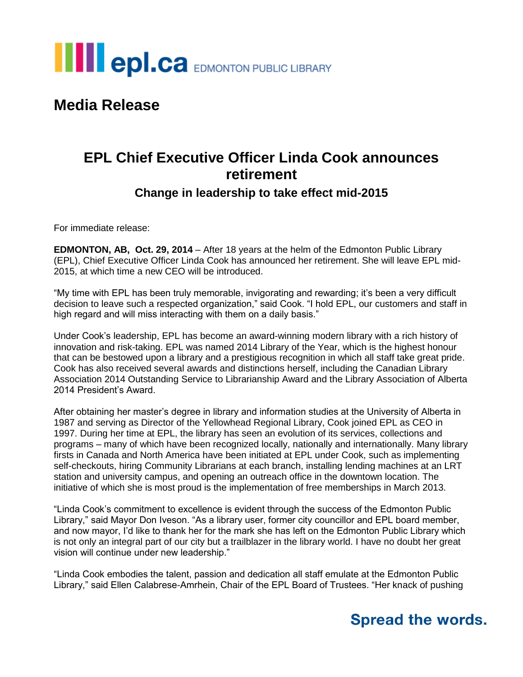

## **Media Release**

## **EPL Chief Executive Officer Linda Cook announces retirement**

#### **Change in leadership to take effect mid-2015**

For immediate release:

**EDMONTON, AB, Oct. 29, 2014** – After 18 years at the helm of the Edmonton Public Library (EPL), Chief Executive Officer Linda Cook has announced her retirement. She will leave EPL mid-2015, at which time a new CEO will be introduced.

"My time with EPL has been truly memorable, invigorating and rewarding; it's been a very difficult decision to leave such a respected organization," said Cook. "I hold EPL, our customers and staff in high regard and will miss interacting with them on a daily basis."

Under Cook's leadership, EPL has become an award-winning modern library with a rich history of innovation and risk-taking. EPL was named 2014 Library of the Year, which is the highest honour that can be bestowed upon a library and a prestigious recognition in which all staff take great pride. Cook has also received several awards and distinctions herself, including the Canadian Library Association 2014 Outstanding Service to Librarianship Award and the Library Association of Alberta 2014 President's Award.

After obtaining her master's degree in library and information studies at the University of Alberta in 1987 and serving as Director of the Yellowhead Regional Library, Cook joined EPL as CEO in 1997. During her time at EPL, the library has seen an evolution of its services, collections and programs – many of which have been recognized locally, nationally and internationally. Many library firsts in Canada and North America have been initiated at EPL under Cook, such as implementing self-checkouts, hiring Community Librarians at each branch, installing lending machines at an LRT station and university campus, and opening an outreach office in the downtown location. The initiative of which she is most proud is the implementation of free memberships in March 2013.

"Linda Cook's commitment to excellence is evident through the success of the Edmonton Public Library," said Mayor Don Iveson. "As a library user, former city councillor and EPL board member, and now mayor, I'd like to thank her for the mark she has left on the Edmonton Public Library which is not only an integral part of our city but a trailblazer in the library world. I have no doubt her great vision will continue under new leadership."

"Linda Cook embodies the talent, passion and dedication all staff emulate at the Edmonton Public Library," said Ellen Calabrese-Amrhein, Chair of the EPL Board of Trustees. "Her knack of pushing

## **Spread the words.**